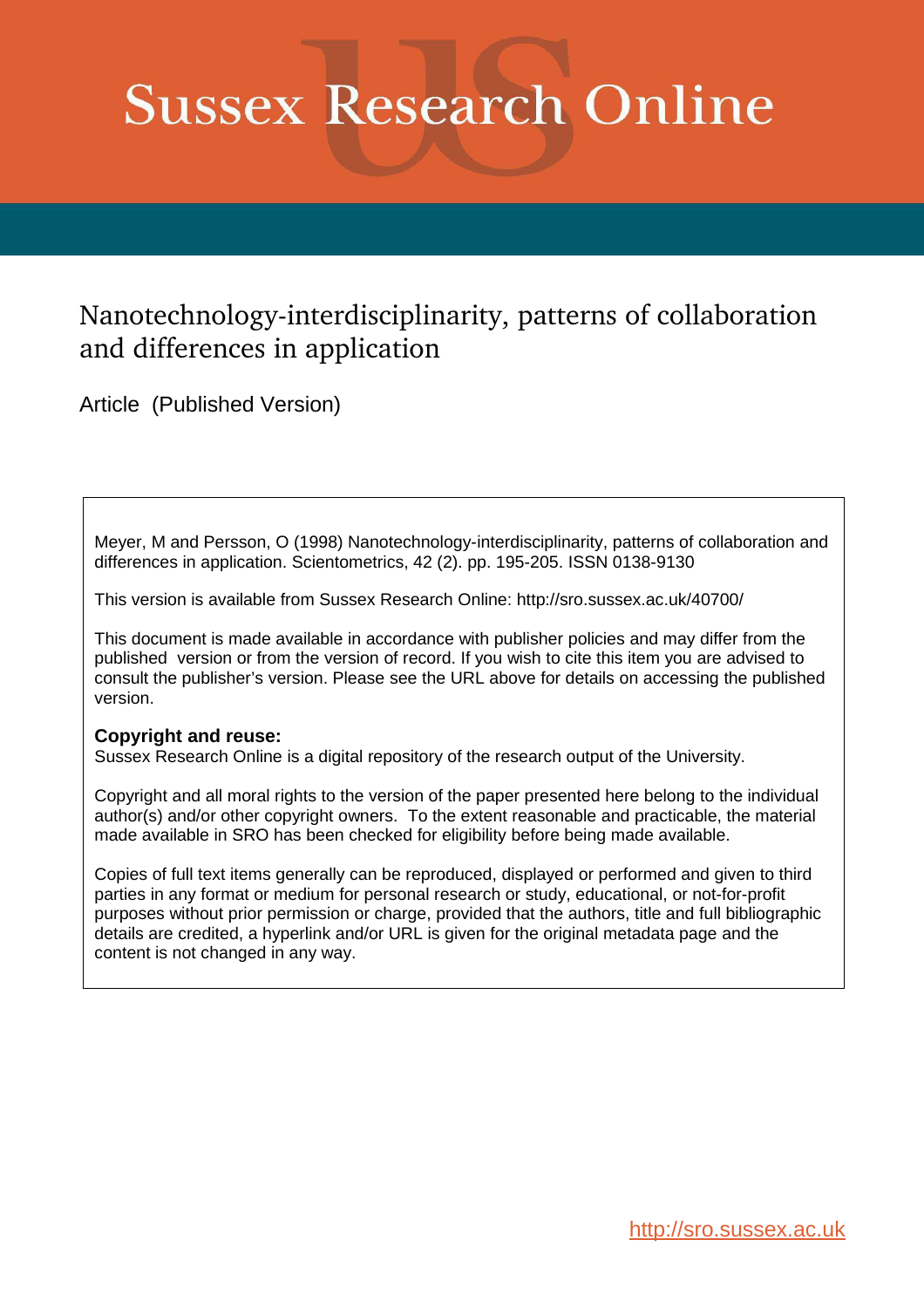# **Sussex Research Online**

# Nanotechnology-interdisciplinarity, patterns of collaboration and differences in application

Article (Published Version)

Meyer, M and Persson, O (1998) Nanotechnology-interdisciplinarity, patterns of collaboration and differences in application. Scientometrics, 42 (2). pp. 195-205. ISSN 0138-9130

This version is available from Sussex Research Online: http://sro.sussex.ac.uk/40700/

This document is made available in accordance with publisher policies and may differ from the published version or from the version of record. If you wish to cite this item you are advised to consult the publisher's version. Please see the URL above for details on accessing the published version.

## **Copyright and reuse:**

Sussex Research Online is a digital repository of the research output of the University.

Copyright and all moral rights to the version of the paper presented here belong to the individual author(s) and/or other copyright owners. To the extent reasonable and practicable, the material made available in SRO has been checked for eligibility before being made available.

Copies of full text items generally can be reproduced, displayed or performed and given to third parties in any format or medium for personal research or study, educational, or not-for-profit purposes without prior permission or charge, provided that the authors, title and full bibliographic details are credited, a hyperlink and/or URL is given for the original metadata page and the content is not changed in any way.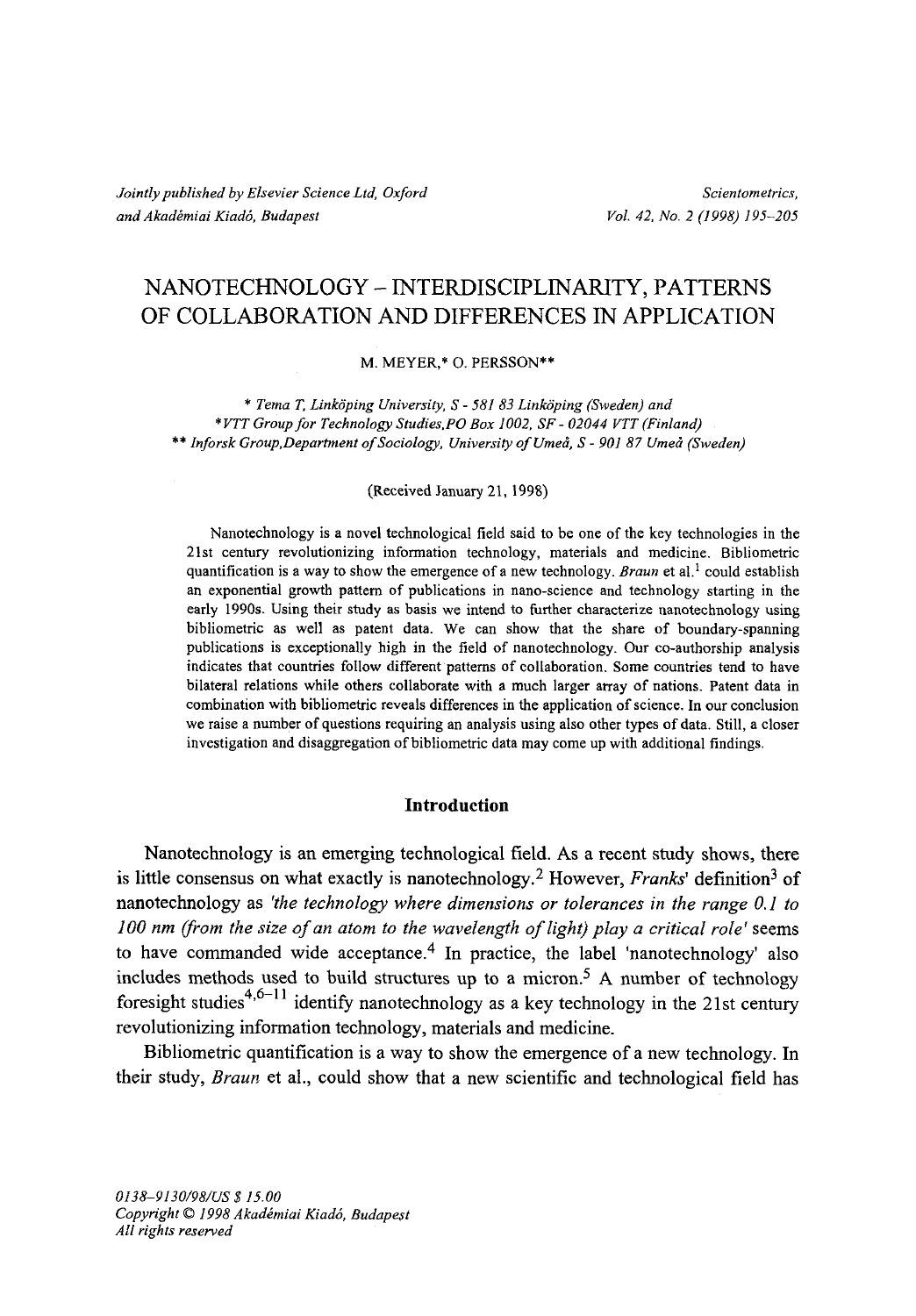*Scientometrics, Vol. 42, No. 2 (1998) 195-205* 

## NANOTECHNOLOGY - INTERDISCIPLINARITY, PATTERNS OF COLLABORATION AND DIFFERENCES IN APPLICATION

#### M. MEYER,\* O. PERSSON\*\*

*\* Tema T, Link6ping University, S - 581 83 Linkb'ping (Sweden) and \* VTT Group for Technology Studies, PO Box 1002, SF- 02044 VTT (Finland) \*\* lnforsk Group, Department of Sociology, University of Umed, S- 901 87 Umed (Sweden)* 

(Received January 21, 1998)

Nanotechnology is a novel technological field said to be one of the key technologies in the 21st century revolutionizing information technology, materials and medicine. Bibliometric quantification is a way to show the emergence of a new technology. *Braun* et al.<sup>1</sup> could establish an exponential growth pattern of publications in nano-science and technology starting in the early 1990s. Using their study as basis we intend to further characterize nanotechnology using bibliometric as well as patent data. We can show that the share of boundary-spanning publications is exceptionally high in the field of nanotechnology. Our co-authorship analysis indicates that countries foIlow different patterns of collaboration. Some countries tend to have bilateral relations while others collaborate with a much larger array of nations. Patent data in combination with bibliometric reveals differences in the application of science. In our conclusion we raise a number of questions requiting an analysis using also other types of data. Still, a closer investigation and disaggregation of bibliometric data may come up with additional findings.

#### **Introduction**

Nanotechnology is an emerging technological field. As a recent study shows, there is little consensus on what exactly is nanotechnology.<sup>2</sup> However, *Franks'* definition<sup>3</sup> of nanotechnology as *'the technology where dimensions or tolerances in the range 0.1 to 100 nm (from the size of an atom to the wavelength of light) play a critical role'* seems to have commanded wide acceptance.<sup>4</sup> In practice, the label 'nanotechnology' also includes methods used to build structures up to a micron.<sup>5</sup> A number of technology foresight studies<sup>4,6-11</sup> identify nanotechnology as a key technology in the 21st century revolutionizing information technology, materials and medicine.

Bibliometric quantification is a way to show the emergence of a new technology. In their study, *Braun* et al., could show that a new scientific and technological field has

*0t38-9130/98/US \$15.00 Copyright 9 1998 Akaddmiai Kiad6, Budapest All rights reserved*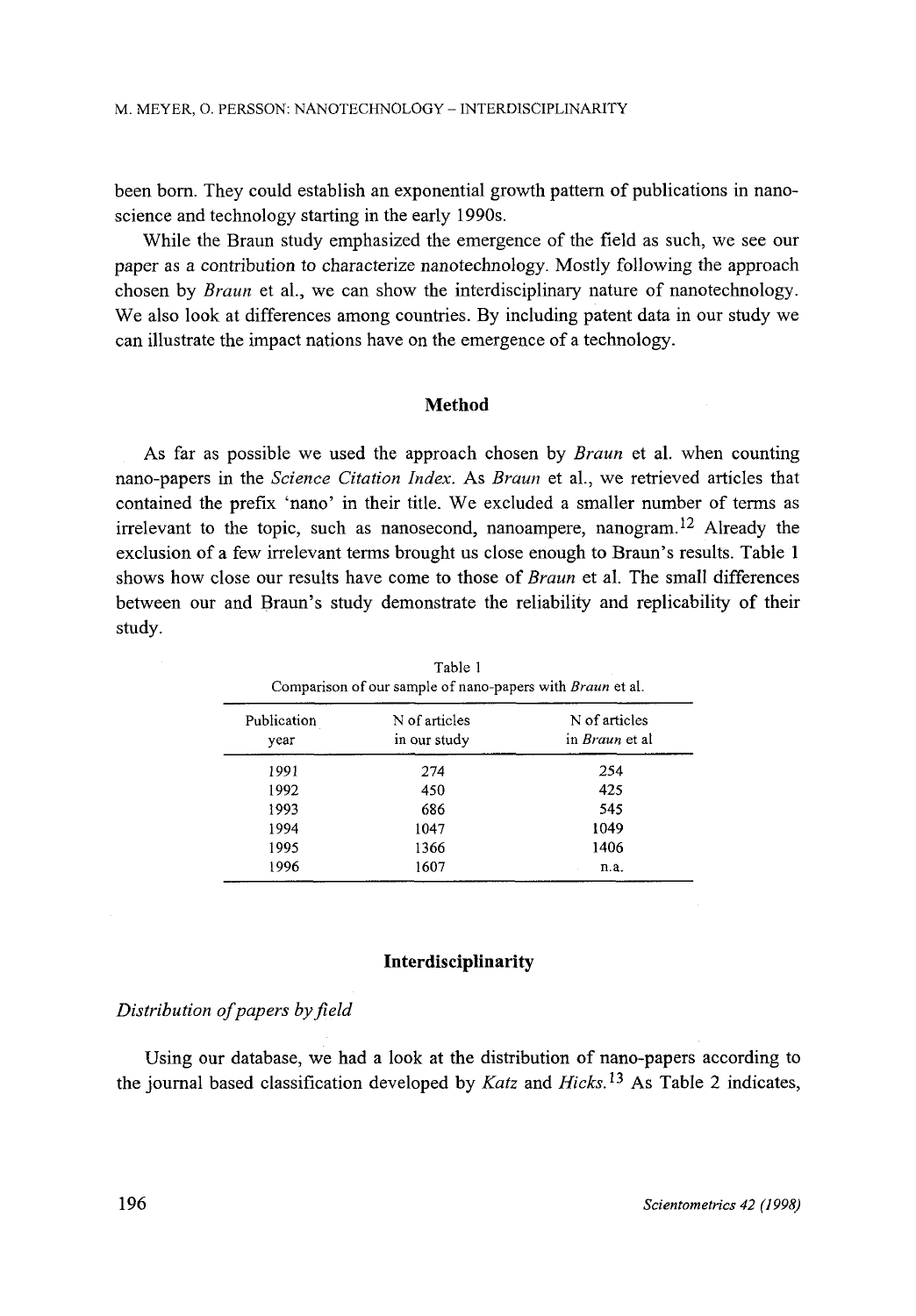been born. They could establish an exponential growth pattern of publications in nanoscience and technology starting in the early 1990s.

While the Braun study emphasized the emergence of the field as such, we see our paper as a contribution to characterize nanotechnology. Mostly following the approach chosen by *Braun* et al., we can show the interdisciplinary nature of nanotechnology. We also look at differences among countries. By including patent data in our study we can illustrate the impact nations have on the emergence of a technology.

#### **Method**

As far as possible we used the approach chosen by *Braun* et al. when counting nano-papers in the *Science Citation Index.* As *Braun* et al., we retrieved articles that contained the prefix 'nano' in their title. We excluded a smaller number of terms as irrelevant to the topic, such as nanosecond, nanoampere, nanogram.<sup>12</sup> Already the exclusion of a few irrelevant terms brought us close enough to Braun's results. Table 1 shows how close our results have come to those of *Braun* et al. The small differences between our and Braun's study demonstrate the reliability and replicability of their study.

|                     | Comparison of our sample of nano-papers with <i>Braun</i> et al. |                                        |
|---------------------|------------------------------------------------------------------|----------------------------------------|
| Publication<br>year | N of articles<br>in our study                                    | N of articles<br>in <i>Braun</i> et al |
| 1991                | 274                                                              | 254                                    |
| 1992                | 450                                                              | 425                                    |
| 1993                | 686                                                              | 545                                    |
| 1994                | 1047                                                             | 1049                                   |
| 1995                | 1366                                                             | 1406                                   |
| 1996                | 1607                                                             | n.a.                                   |

Table 1

#### **Interdisciplinarity**

#### *Distribution of papers by field*

Using our database, we had a look at the distribution of nano-papers according to the journal based classification developed by *Katz* and *Hicks.* 13 As Table 2 indicates,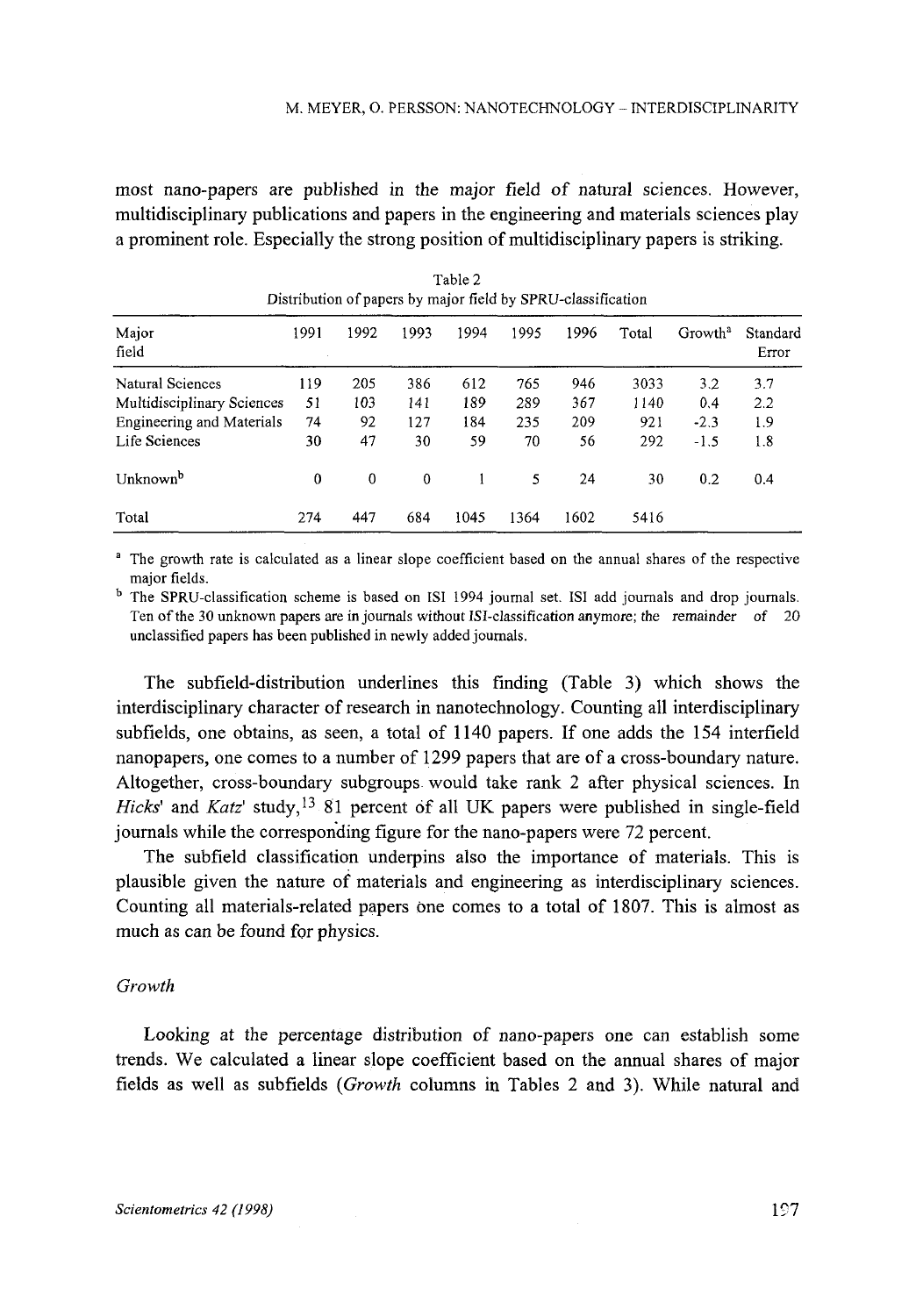most nano-papers are published in the major field of natural sciences. However, multidisciplinary publications and papers in the engineering and materials sciences play a prominent role. Especially the strong position of multidisciplinary papers is striking.

| Distribution of papers by major field by SPRU-classification |      |      |          |      |      |      |       |                     |                   |
|--------------------------------------------------------------|------|------|----------|------|------|------|-------|---------------------|-------------------|
| Major<br>field                                               | 1991 | 1992 | 1993     | 1994 | 1995 | 1996 | Total | Growth <sup>a</sup> | Standard<br>Error |
| Natural Sciences                                             | 119  | 205  | 386      | 612  | 765  | 946  | 3033  | 3.2                 | 3.7               |
| Multidisciplinary Sciences                                   | 51   | 103  | 141      | 189  | 289  | 367  | 1140  | 0,4                 | 2.2               |
| Engineering and Materials                                    | 74   | 92   | 127      | 184  | 235  | 209  | 921   | $-2.3$              | 1.9               |
| Life Sciences                                                | 30   | 47   | 30       | 59   | 70   | 56   | 292   | $-1.5$              | 1.8               |
| Unknown <sup>b</sup>                                         | 0    | 0    | $\Omega$ |      | 5    | 24   | 30    | 0.2                 | 0.4               |
| Total                                                        | 274  | 447  | 684      | 1045 | 1364 | 1602 | 5416  |                     |                   |

Table 2 Distribution of papers by major field by SPRU-elassification

<sup>a</sup> The growth rate is calculated as a linear slope coefficient based on the annual shares of the respective major fields.

<sup>b</sup> The SPRU-classification scheme is based on ISI 1994 journal set. ISI add journals and drop journals. Ten of the 30 unknown papers are in journals without *ISI-classification* anymore; the remainder of 20 unclassified papers has been published in newly added journals.

The subfield-distribution underlines this finding (Table 3) which shows the interdisciplinary character of research in nanotechnology. Counting all interdisciplinary subfields, one obtains, as seen, a total of 1140 papers. If one adds the 154 interfield nanopapers, one comes to a number of 1299 papers that are of a cross-boundary nature. Altogether, cross-boundary subgroups would take rank 2 after physical sciences. In *Hicks'* and *Katz'* study, 13 81 percent of all UK papers were published in single-field journals while the corresponding figure for the nano-papers were 72 percent.

The subfield classification underpins also the importance of materials. This is plausible given the nature of materials and engineering as interdisciplinary sciences. Counting all materials-related papers one comes to a total of 1807. This is almost as much as can be found for physics.

#### *Growth*

Looking at the *percentage* distribution of nano-papers one can establish some trends. We calculated a linear slope coefficient based on the annual shares of major fields as well as subfields *(Growth* columns in Tables 2 and 3). While natural and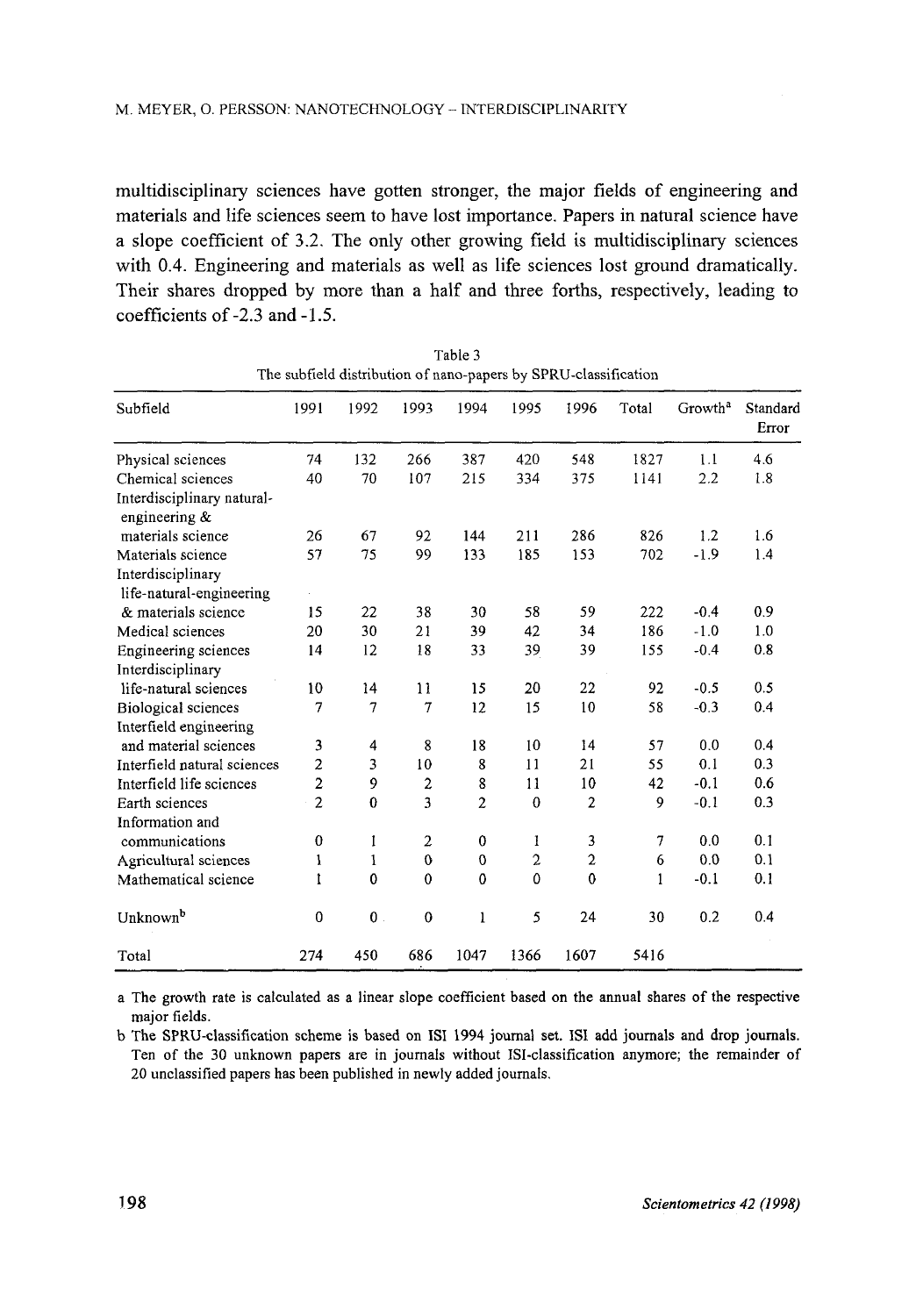multidisciplinary sciences have gotten stronger, the major fields of engineering and materials and life sciences seem to have lost importance. Papers in natural science have a slope coefficient of 3.2. The only other growing field is multidisciplinary sciences with 0.4. Engineering and materials as well as life sciences lost ground dramatically. Their shares dropped by more than a half and three forths, respectively, leading to coefficients of-2.3 and -1.5.

| The subfield distribution of nano-papers by SPRU-classification |                         |                |                |                         |                  |                |       |                     |                   |
|-----------------------------------------------------------------|-------------------------|----------------|----------------|-------------------------|------------------|----------------|-------|---------------------|-------------------|
| Subfield                                                        | 1991                    | 1992           | 1993           | 1994                    | 1995             | 1996           | Total | Growth <sup>a</sup> | Standard<br>Error |
| Physical sciences                                               | 74                      | 132            | 266            | 387                     | 420              | 548            | 1827  | 1.1                 | 4.6               |
| Chemical sciences                                               | 40                      | 70             | 107            | 215                     | 334              | 375            | 1141  | 2.2                 | 1.8               |
| Interdisciplinary natural-<br>engineering &                     |                         |                |                |                         |                  |                |       |                     |                   |
| materials science                                               | 26                      | 67             | 92             | 144                     | 211              | 286            | 826   | 1.2                 | 1.6               |
| Materials science                                               | 57                      | 75             | 99             | 133                     | 185              | 153            | 702   | $-1.9$              | 1.4               |
| Interdisciplinary                                               |                         |                |                |                         |                  |                |       |                     |                   |
| life-natural-engineering                                        |                         |                |                |                         |                  |                |       |                     |                   |
| & materials science                                             | 15                      | 22             | 38             | 30                      | 58               | 59             | 222   | $-0.4$              | 0.9               |
| Medical sciences                                                | 20                      | 30             | 21             | 39                      | 42               | 34             | 186   | $-1.0$              | 1.0               |
| Engineering sciences                                            | 14                      | 12             | 18             | 33                      | 39               | 39             | 155   | $-0.4$              | 0.8               |
| Interdisciplinary                                               |                         |                |                |                         |                  |                |       |                     |                   |
| life-natural sciences                                           | 10                      | 14             | 11             | 15                      | 20               | 22             | 92    | $-0.5$              | 0.5               |
| Biological sciences                                             | 7                       | 7              | 7              | 12                      | 15               | 10             | 58    | $-0.3$              | 0.4               |
| Interfield engineering                                          |                         |                |                |                         |                  |                |       |                     |                   |
| and material sciences                                           | 3                       | 4              | 8              | 18                      | 10               | 14             | 57    | 0.0                 | 0.4               |
| Interfield natural sciences                                     | $\overline{\mathbf{c}}$ | 3              | 10             | 8                       | 11               | 21             | 55    | 0.1                 | 0.3               |
| Interfield life sciences                                        | $\mathbf{2}$            | 9              | $\overline{c}$ | 8                       | 11               | 10             | 42    | $-0.1$              | 0.6               |
| Earth sciences                                                  | $\overline{c}$          | $\bf{0}$       | $\overline{3}$ | $\overline{\mathbf{c}}$ | $\boldsymbol{0}$ | $\overline{2}$ | 9     | $-0.1$              | 0.3               |
| Information and                                                 |                         |                |                |                         |                  |                |       |                     |                   |
| communications                                                  | $\bf{0}$                | 1              | 2              | $\mathbf 0$             | I                | 3              | 7     | 0.0                 | 0.1               |
| Agricultural sciences                                           | 1                       | 1              | $\mathbf 0$    | $\boldsymbol{0}$        | $\mathbf{2}$     | $\mathbf{c}$   | 6     | 0.0                 | 0.1               |
| Mathematical science                                            | 1                       | 0              | $\mathbf{0}$   | 0                       | $\mathbf 0$      | $\mathbf{0}$   | 1     | $-0.1$              | 0.1               |
| Unknown <sup>b</sup>                                            | 0                       | $\mathbf{0}$ . | $\mathbf 0$    | 1                       | 5                | 24             | 30    | 0.2                 | 0.4               |
| Total                                                           | 274                     | 450            | 686            | 1047                    | 1366             | 1607           | 5416  |                     |                   |

| Table 3                                                         |  |
|-----------------------------------------------------------------|--|
| The subfield distribution of nano-papers by SPRU-classification |  |

a The growth rate is calculated as a linear slope coefficient based on the annual shares of the respective major fields.

b The SPRU-classification scheme is based on ISI 1994 journal set. ISI add journals and drop journals. Ten of the 30 unknown papers are in journals without ISl-classification anymore; the remainder of 20 unclassified papers has been published in newly added journals.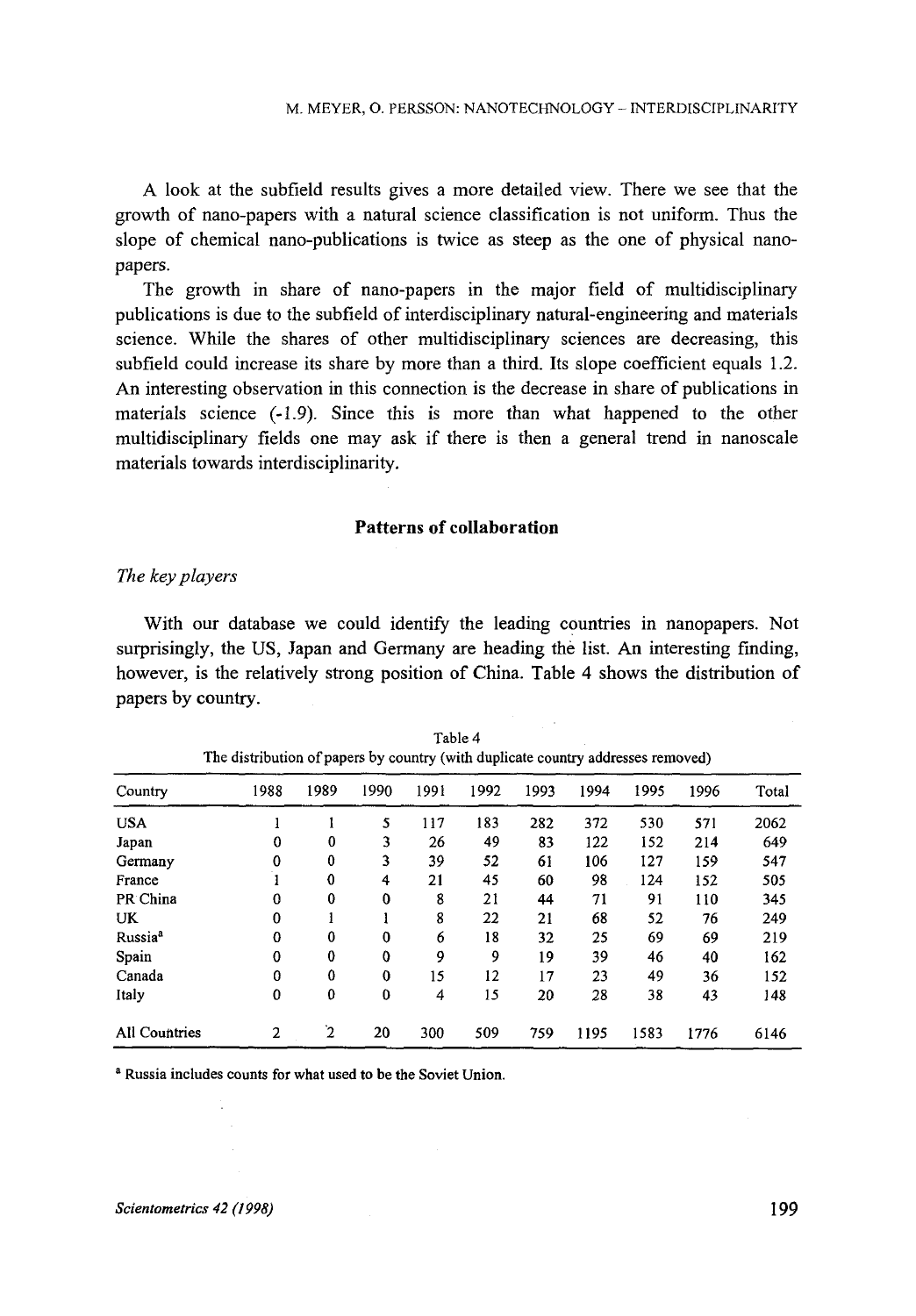A look at the subfield results gives a more detailed view. There we see that the growth of nano-papers with a natural science classification is not uniform. Thus the slope of chemical nano-publications is twice as steep as the one of physical nanopapers.

The growth in share of nano-papers in the major field of multidisciplinary publications is due to the subfield of interdisciplinary natural-engineering and materials science. While the shares of other multidisciplinary sciences are decreasing, this subfield could increase its share by more than a third. Its slope coefficient equals 1.2. An interesting observation in this connection is the decrease in share of publications in materials science  $(-1.9)$ . Since this is more than what happened to the other multidisciplinary fields one may ask if there is then a general trend in nanoscale materials towards interdisciplinarity.

#### **Patterns of collaboration**

#### *The key players*

With our database we could identify the leading countries in nanopapers. Not surprisingly, the US, Japan and Germany are heading the list. An interesting finding, however, is the relatively strong position of China. Table 4 shows the distribution of papers by country.

|                      | The distribution of papers by country (with duplicate country addresses reflioved) |      |          |      |      |      |      |      |      |       |
|----------------------|------------------------------------------------------------------------------------|------|----------|------|------|------|------|------|------|-------|
| Country              | 1988                                                                               | 1989 | 1990     | 1991 | 1992 | 1993 | 1994 | 1995 | 1996 | Total |
| <b>USA</b>           |                                                                                    |      | 5        | 117  | 183  | 282  | 372  | 530  | 571  | 2062  |
| Japan                | 0                                                                                  | 0    | 3        | 26   | 49   | 83   | 122  | 152  | 214  | 649   |
| Germany              |                                                                                    | 0    | 3        | 39   | 52   | 61   | 106  | 127  | 159  | 547   |
| France               |                                                                                    | 0    | 4        | 21   | 45   | 60   | 98   | 124  | 152  | 505   |
| PR China             | 0                                                                                  | 0    | 0        | 8    | 21   | 44   | 71   | 91   | 110  | 345   |
| UK.                  | 0                                                                                  |      |          | 8    | 22   | 21   | 68   | 52   | 76   | 249   |
| Russia <sup>a</sup>  | 0                                                                                  | 0    | 0        | 6    | 18   | 32   | 25   | 69   | 69   | 219   |
| Spain                | 0                                                                                  | 0    | 0        | 9    | 9    | 19   | 39   | 46   | 40   | 162   |
| Canada               | 0                                                                                  | 0    | $\bf{0}$ | 15   | 12   | 17   | 23   | 49   | 36   | 152   |
| Italy                | 0                                                                                  | 0    | $\bf{0}$ | 4    | 15   | 20   | 28   | 38   | 43   | 148   |
| <b>All Countries</b> | 2                                                                                  | 2    | 20       | 300  | 509  | 759  | 1195 | 1583 | 1776 | 6146  |



a Russia includes counts for what used to be the Soviet Union.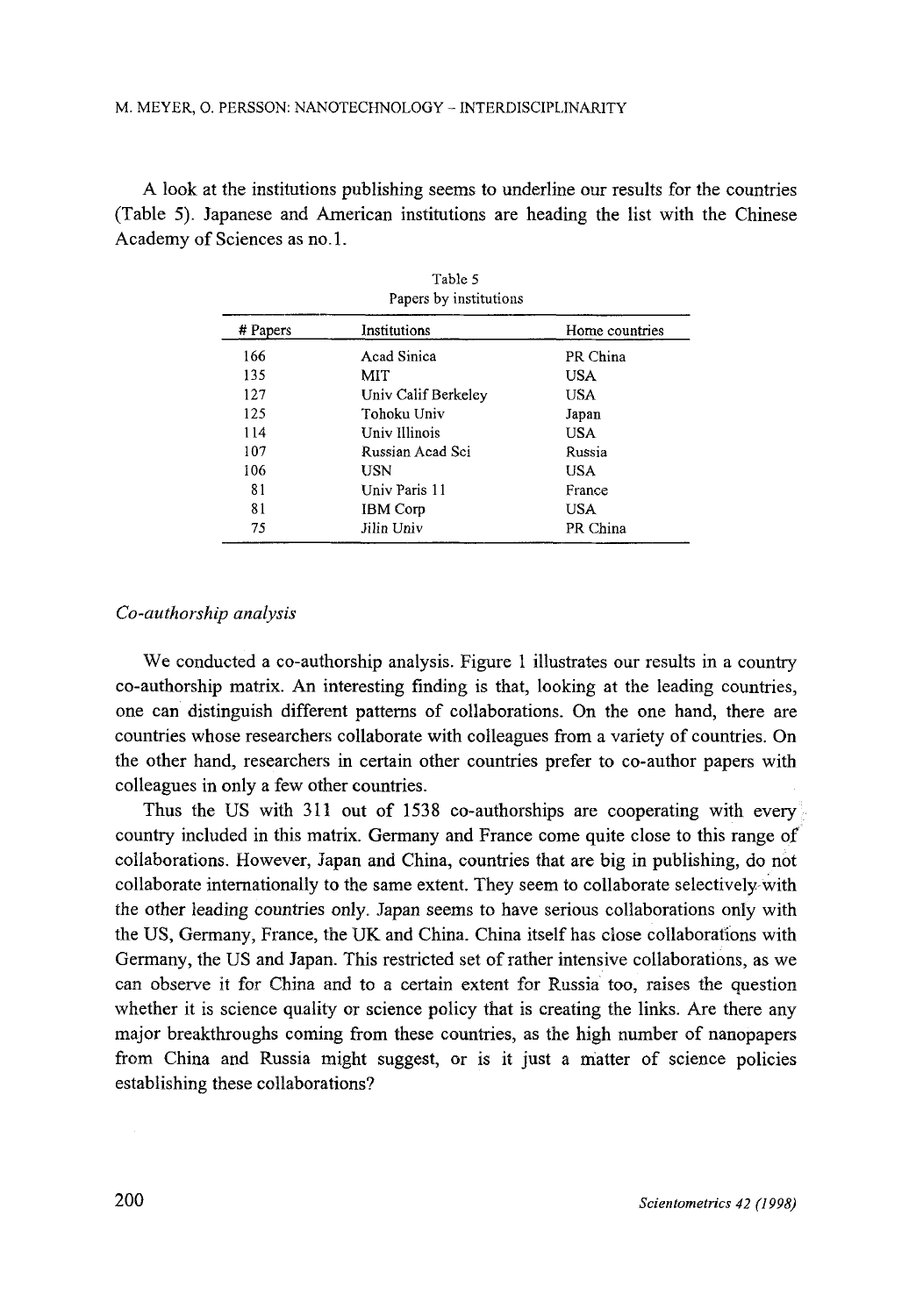A look at the institutions publishing seems to underline our results for the countries (Table 5). Japanese and American institutions are heading the list with the Chinese Academy of Sciences as no. 1.

| # Papers | Institutions        | Home countries |
|----------|---------------------|----------------|
| 166      | Acad Sinica         | PR China       |
| 135      | MIT                 | <b>USA</b>     |
| 127      | Univ Calif Berkeley | USA            |
| 125      | Tohoku Univ         | Japan          |
| 114      | Univ Illinois       | USA            |
| 107      | Russian Acad Sci    | Russia         |
| 106      | USN                 | <b>USA</b>     |
| 81       | Univ Paris 11       | France         |
| 81       | <b>IBM</b> Corp     | USA            |
| 75       | Jilin Univ          | PR China       |

#### *Co-authorship analysis*

We conducted a co-authorship analysis. Figure 1 illustrates our results in a country co-authorship matrix. An interesting finding is that, looking at the leading countries, one can distinguish different pattems of collaborations. On the one hand, there are countries whose researchers collaborate with colleagues from a variety of countries. On the other hand, researchers in certain other countries prefer to co-author papers with colleagues in only a few other countries.

Thus the US with 311 out of 1538 co-authorships are cooperating with every country included in this matrix. Germany and France come quite close to this range of collaborations. However, Japan and China, countries that are big in publishing, do not collaborate internationally to the same extent. They seem to collaborate selectively with the other leading countries only. Japan seems to have serious collaborations only with the US, Germany, France, the UK and China. China itself has close collaborations with Germany, the US and Japan. This restricted set of rather intensive collaborations, as we can observe it for China and to a certain extent for Russia too, raises the question whether it is science quality or science policy that is creating the links. Are there any major breakthroughs coming from these countries, as the high number of nanopapers from China and Russia might suggest, or is it just a matter of science policies establishing these collaborations?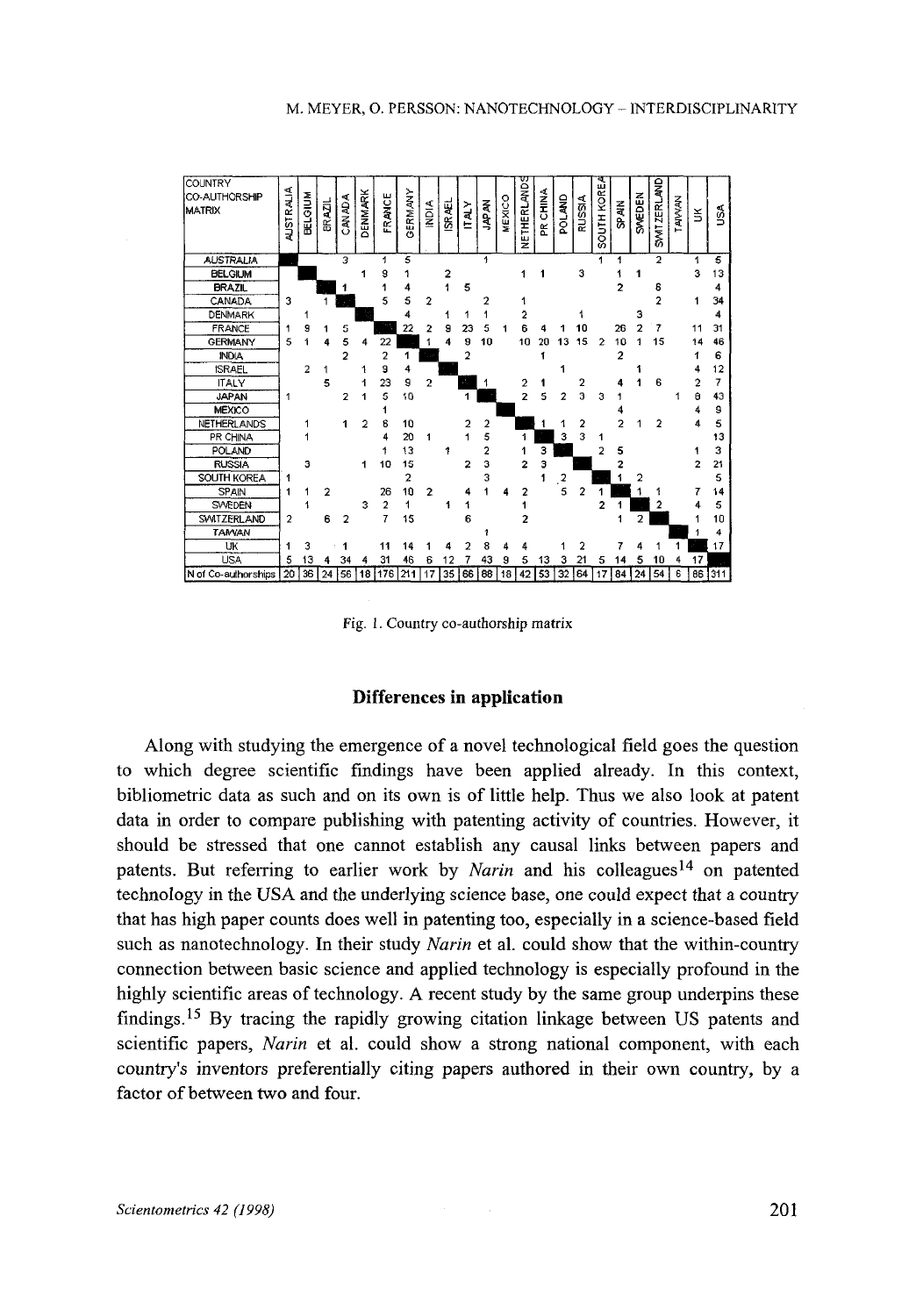

**Fig. 1. Country co-authorship matrix** 

#### **Differences in application**

**Along with studying the emergence of a novel technological field goes the question to which degree scientific findings have been applied already. In this context, bibliometric data as such and on its own is of little help. Thus we also look at patent data in order to compare publishing with patenting activity of countries. However, it should be stressed that one cannot establish any causal links between papers and patents. But referring to earlier work by** *Narin* **and his colleagues 14 on patented technology in the USA and the underlying science base, one could expect that a country that has high paper counts does well in patenting too, especially in a science-based field such as nanotechnology. In their study** *Narin* **et al. could show that the within-country connection between basic science and applied technology is especially profound in the highly scientific areas of technology. A recent study by the same group underpins these findings. 15 By tracing the rapidly growing citation linkage between US patents and scientific papers,** *Narin* **et al. could show a strong national component, with each country's inventors preferentially citing papers authored in their own country, by a factor of between two and four.**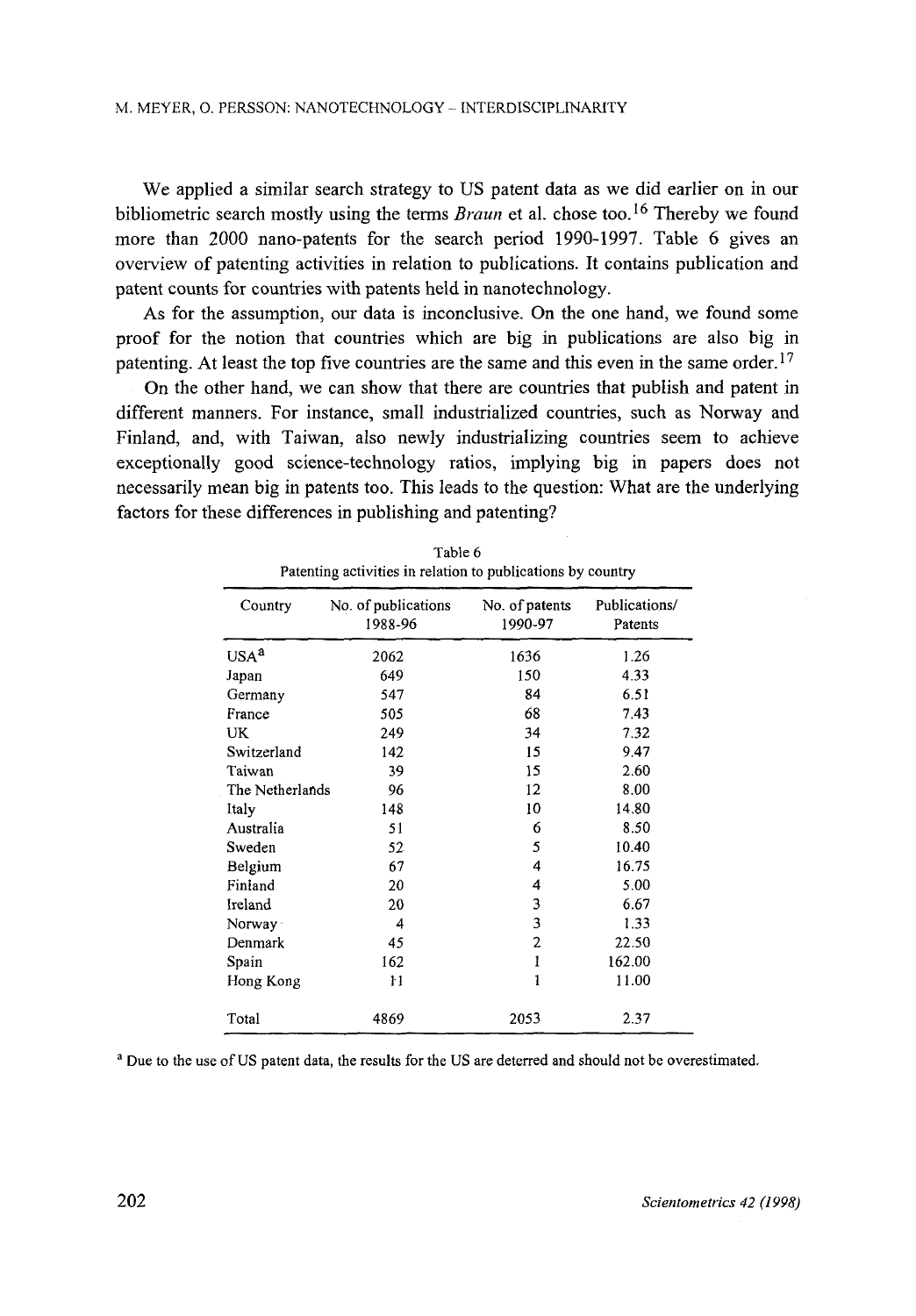We applied a similar search strategy to US patent data as we did earlier on in our bibliometric search mostly using the terms *Braun* et al. chose too. 16 Thereby we found more than 2000 nano-patents for the search period 1990-1997. Table 6 gives an overview of patenting activities in relation to publications. It contains publication and patent counts for countries with patents held in nanotechnology.

As for the assumption, our data is inconclusive. On the one hand, we found some proof for the notion that countries which are big in publications are also big in patenting. At least the top five countries are the same and this even in the same order.<sup>17</sup>

On the other hand, we can show that there are countries that publish and patent in different manners. For instance, small industrialized countries, such as Norway and Finland, and, with Taiwan, also newly industrializing countries seem to achieve exceptionally good science-technology ratios, implying big in papers does not necessarily mean big in patents too. This leads to the question: What are the underlying factors for these differences in publishing and patenting?

| Country          | No. of publications<br>1988-96 | No. of patents<br>1990-97 | Publications/<br>Patents |
|------------------|--------------------------------|---------------------------|--------------------------|
| USA <sup>a</sup> | 2062                           | 1636                      | 1.26                     |
| Japan            | 649                            | 150                       | 4.33                     |
| Germany          | 547                            | 84                        | 6.51                     |
| France           | 505                            | 68                        | 7.43                     |
| UK               | 249                            | 34                        | 7.32                     |
| Switzerland      | 142                            | 15                        | 9.47                     |
| Taiwan           | 39                             | 15                        | 2.60                     |
| The Netherlands  | 96                             | 12                        | 8.00                     |
| Italy            | 148                            | 10                        | 14.80                    |
| Australia        | 51                             | 6                         | 8.50                     |
| Sweden           | 52                             | 5                         | 10.40                    |
| Belgium          | 67                             | 4                         | 16.75                    |
| Finland          | 20                             | 4                         | 5.00                     |
| Ireland          | 20                             | 3                         | 6.67                     |
| Norway :         | 4                              | 3                         | 1.33                     |
| Denmark          | 45                             | $\overline{c}$            | 22.50                    |
| Spain            | 162                            | ı                         | 162.00                   |
| Hong Kong        | Ħ                              | 1                         | 11.00                    |
| Total            | 4869                           | 2053                      | 2.37                     |

| Table 6                                                     |
|-------------------------------------------------------------|
| Patenting activities in relation to publications by country |

a Due to the use of US patent data, the results for the US are deterred and should not be overestimated.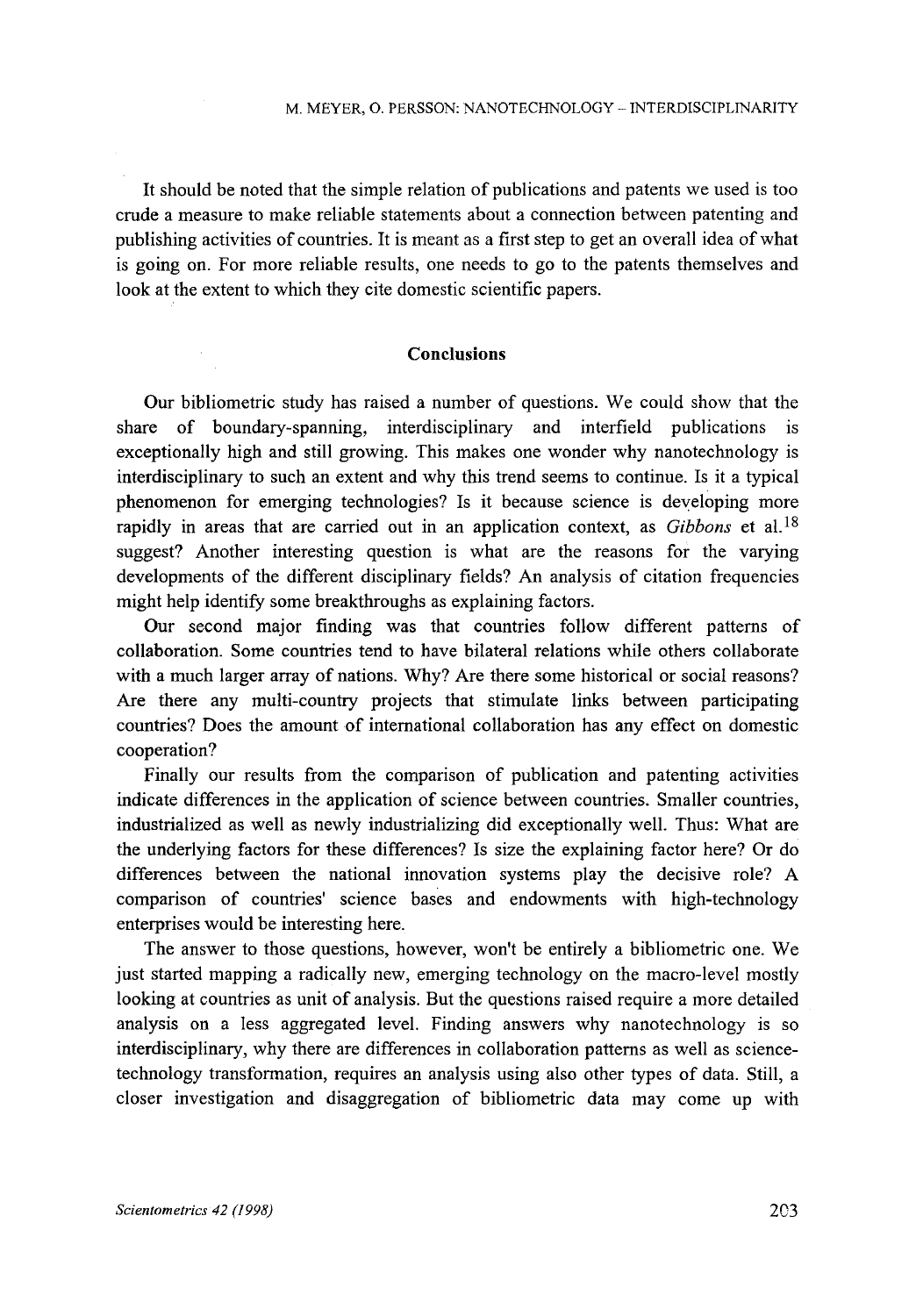It should be noted that the simple relation of publications and patents we used is too crude a measure to make reliable statements about a connection between patenting and publishing activities of countries. It is meant as a first step to get an overall idea of what is going on. For more reliable results, one needs to go to the patents themselves and look at the extent to which they cite domestic scientific papers.

#### **Conclusions**

Our bibliometric study has raised a number of questions. We could show that the share of boundary-spanning, interdisciplinary and interfield publications is exceptionally high and still growing. This makes one wonder why nanotechnology is interdisciplinary to such an extent and why this trend seems to continue. Is it a typical phenomenon for emerging technologies? Is it because science is developing more rapidly in areas that are carried out in an application context, as *Gibbons* et al. 18 suggest? Another interesting question is what are the reasons for the varying developments of the different disciplinary fields? An analysis of citation frequencies might help identify some breakthroughs as explaining factors.

Our second major finding was that countries follow different patterns of collaboration. Some countries tend to have bilateral relations while others collaborate with a much larger array of nations. Why? Are there some historical or social reasons? Are there any multi-country projects that stimulate links between participating countries? Does the amount of international collaboration has any effect on domestic cooperation?

Finally our results from the comparison of publication and patenting activities indicate differences in the application of science between countries. Smaller countries, industrialized as well as newly industrializing did exceptionally well. Thus: What are the underlying factors for these differences? Is size the explaining factor here? Or do differences between the national innovation systems play the decisive role? A comparison of countries' science bases and endowments with high-technology enterprises would be interesting here.

The answer to those questions, however, won't be entirely a bibliometric one. We just started mapping a radically new, emerging technology on the macro-level mostly looking at countries as unit of analysis. But the questions raised require a more detailed analysis on a less aggregated level. Finding answers why nanotechnology is so interdisciplinary, why there are differences in collaboration patterns as well as sciencetechnology transformation, requires an analysis using also other types of data. Still, a closer investigation and disaggregation of bibliometric data may come up with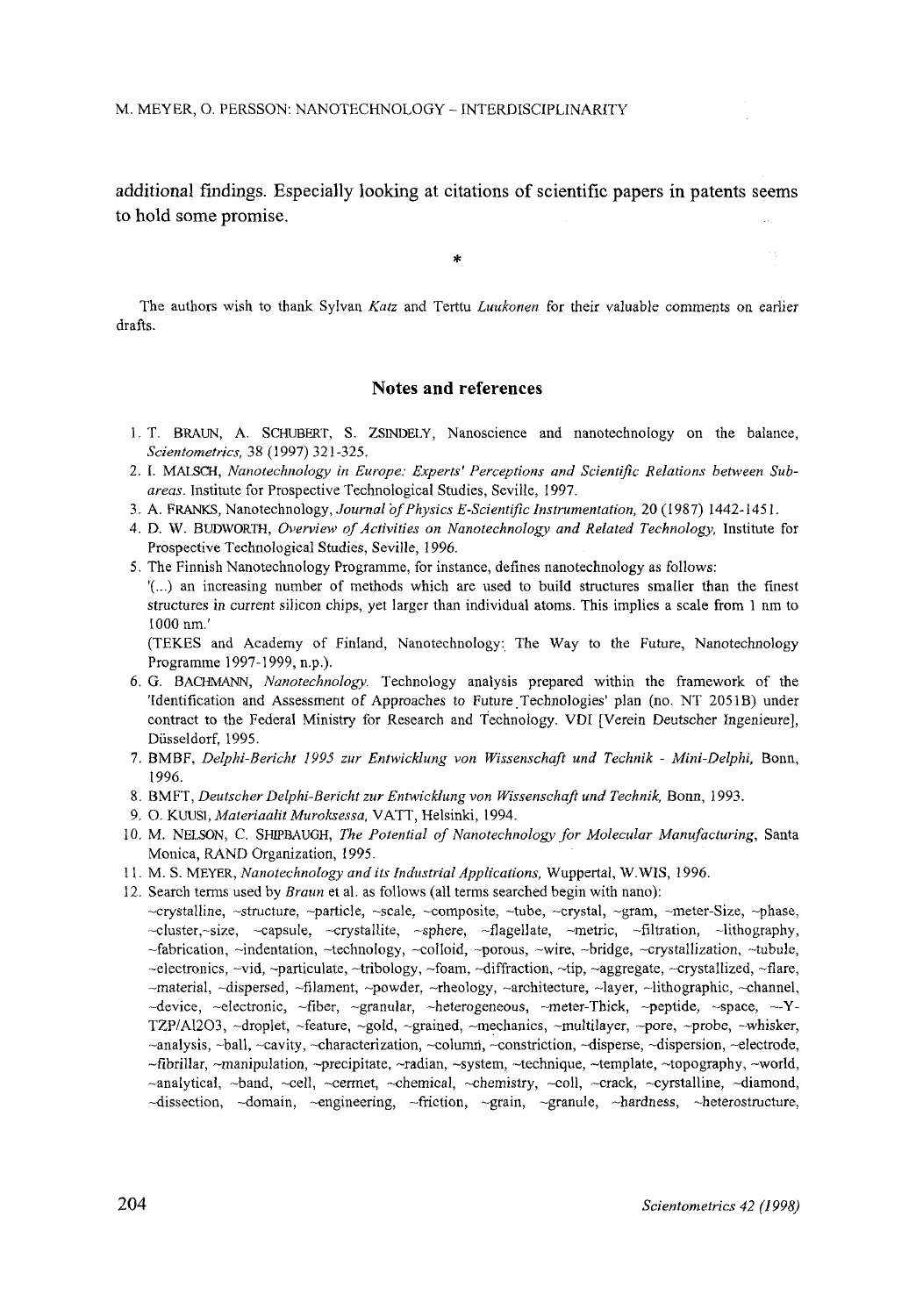additional findings. Especially looking at citations of scientific papers in patents seems to hold some promise.

 $\ast$ 

The authors wish to thank Sylvan *Katz* and Terttu *Luukonen* for their valuable comments on earlier drafts.

#### **Notes and references**

- 1. T. BRAUN, A. SCHUBERT, S. ZSINDELY, Nanoscience and nanotechnology on the balance, *Scientometrics,* 38 (1997) 321-325.
- 2. I. MALSCH, *Nanoteehnology in Europe." Experts' Perceptions and Scientific Relations between Subareas.* Institute for Prospective Technological Studies, Seville, 1997.
- 3. A. FRANKS, Nanotechnology, *Journal bfPhysics E-Scientific Instrumentation,* 20 (1987) 1442-1451.
- 4. D. W. BUDWORTH, *Overview of Activities on Nanotechnology and Related Technology,* Institute for Prospective Technological Studies, Seville, 1996.
- 5. The Finnish Nanotechnology Programme, for instance, defines nanotechnology as follows: '(...) an increasing number of methods which are used to build structures smaller than the finest structures in current silicon chips, yet larger than individual atoms. This implies a scale from 1 nm to 1000 nm.'

(TEKES and Academy of Finland, Nanotechnology:. The Way to the Future, Nanotechnology Programme 1997-1999, n.p.).

- 6. G. BACHMANN, *Nanotechnology.* Technology analysis prepared within the framework of the 'identification and Assessment of Approaches to Future.Technologies' plan (no. NT 2051B) under contract to the Federal Ministry for Research and Technology. VDI [Verein Dentscher Ingenieure], Düsseldorf, 1995.
- 7. BMBF, *Delphi-Bericht 1995 zur Entwicklung yon Wissenschaft und Technik Mini-Delphi,* Bonn, 1996.
- 8. BMFT, *Deutscher Delphi-Bericht zur Entwicklung yon Wissenschaft und Technik,* Bonn, 1993.
- 9. O. KUUSI, *Materiaalit Muroksessa,* VATT, Helsinki, 1994.
- 10. M. NELSON, C. SHIPBAUGH, *The Potential of Nanotechnology for Molecular Manufacturing,* Santa Monica, RAND Organization, 1995.
- 11. M. S. MEYER, *Nanotechnology and its" Industrial Applications,* Wuppertal, W.WIS, 1996.
- 12. Search terms used by *Braun* et al. as follows (all terms searched begin with nano):

-crystalline, -structure, -particle, -scale, ~composite, -tube, -crystal, -gram, -meter-Size, -phase, .-cluster,-size, -capsule, -crystallite, -sphere, -flagellate, -metric, -filtration, -lithography, -fabrication, -indentation, -technology, -colloid, -porous, -wire, -bridge, -crystallization, -tubule, -electronics, ~vid, ~particulate, -tribology, -foam, ~diffraction, ~tip, ~aggregate, -crystallized, ~flare, ~material, ~dispersed, -filament, -powder, ~rheology, ~architecture, -layer, -lithographic, ~channel, -device, -electronic, ~fiber, ~granular, ~heterogeneous, ~meter-Thick, ~peptide, ~space, ~-Y-TZP/A1203, ~droplet, ~feature, ~gold, ~grained, -mechanics, ~multilayer, -pore, -probe, ~whisker, ~analysis, -ball, ~cavity, ~characterization, ~column, -constriction, -disperse, ~dispersion, -electrode, -fibrillar, ~manipulation, ~-preeipitate, -radian, -system, -~technique, -template, ~topography, -world,  $\sim$ analytical,  $\sim$ band,  $\sim$ cell,  $\sim$ cermet,  $\sim$ chemical,  $\sim$ chemistry,  $\sim$ coll,  $\sim$ crack,  $\sim$ cyrstalline,  $\sim$ diamond, ~clissection, ~domain, ~engineering, ~friction, -grain, ~granule, ~hardness, ~heterostmcture,